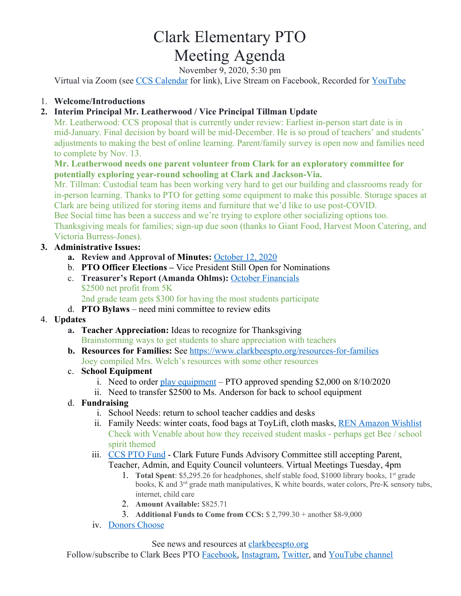# Clark Elementary PTO Meeting Agenda

November 9, 2020, 5:30 pm

Virtual via Zoom (see [CCS Calendar](http://charlottesvilleschools.org/calendar/) for link), Live Stream on Facebook, Recorded for [YouTube](https://www.youtube.com/channel/UCYKgW2F4gHVYOJ-igHvrp9g/)

### 1. **Welcome/Introductions**

## **2. Interim Principal Mr. Leatherwood / Vice Principal Tillman Update**

Mr. Leatherwood: CCS proposal that is currently under review: Earliest in-person start date is in mid-January. Final decision by board will be mid-December. He is so proud of teachers' and students' adjustments to making the best of online learning. Parent/family survey is open now and families need to complete by Nov. 13.

#### **Mr. Leatherwood needs one parent volunteer from Clark for an exploratory committee for potentially exploring year-round schooling at Clark and Jackson-Via.**

Mr. Tillman: Custodial team has been working very hard to get our building and classrooms ready for in-person learning. Thanks to PTO for getting some equipment to make this possible. Storage spaces at Clark are being utilized for storing items and furniture that we'd like to use post-COVID.

Bee Social time has been a success and we're trying to explore other socializing options too. Thanksgiving meals for families; sign-up due soon (thanks to Giant Food, Harvest Moon Catering, and Victoria Burress-Jones).

#### **3. Administrative Issues:**

- **a. Review and Approval of Minutes:** [October 12, 2020](https://72069fcb-fa6f-46d9-8364-cf3fb644b396.filesusr.com/ugd/13a865_37a5730daab04133915d4c77426a4aaf.pdf)
- b. **PTO Officer Elections** Vice President Still Open for Nominations
- c. **Treasurer's Report (Amanda Ohlms):** [October Financials](https://www.clarkbeespto.org/meetings) \$2500 net profit from 5K
	- 2nd grade team gets \$300 for having the most students participate
- d. **PTO Bylaws**  need mini committee to review edits

#### 4. **Updates**

- **a. Teacher Appreciation:** Ideas to recognize for Thanksgiving Brainstorming ways to get students to share appreciation with teachers
- **b. Resources for Families:** See <https://www.clarkbeespto.org/resources-for-families> Joey compiled Mrs. Welch's resources with some other resources

#### c. **School Equipment**

- i. Need to order [play equipment](https://72069fcb-fa6f-46d9-8364-cf3fb644b396.filesusr.com/ugd/13a865_44f7ddb88f9b4a878f10d1ed45a5afee.pdf) PTO approved spending \$2,000 on 8/10/2020
- ii. Need to transfer \$2500 to Ms. Anderson for back to school equipment
- d. **Fundraising**
	- i. School Needs: return to school teacher caddies and desks
	- ii. Family Needs: winter coats, food bags at ToyLift, cloth masks, [REN Amazon Wishlist](https://www.amazon.com/hz/wishlist/ls/14ZNFPR5KYXU?ref_=wl_share) Check with Venable about how they received student masks - perhaps get Bee / school spirit themed
	- iii. [CCS PTO Fund](https://www.ccsptofund.org/) Clark Future Funds Advisory Committee still accepting Parent, Teacher, Admin, and Equity Council volunteers. Virtual Meetings Tuesday, 4pm
		- 1. Total Spent: \$5,295.26 for headphones, shelf stable food, \$1000 library books, 1<sup>st</sup> grade books, K and 3<sup>rd</sup> grade math manipulatives, K white boards, water colors, Pre-K sensory tubs, internet, child care
		- 2. **Amount Available:** \$825.71
		- 3. **Additional Funds to Come from CCS:** \$ 2,799.30 + another \$8-9,000
	- iv. [Donors Choose](https://www.donorschoose.org/school/clark-elementary-school/34679?fbclid=IwAR3VvGssT7y73SfOedUaot2msfQRfEdGE6M-v6FQEzfci_oISA7U49e25UM&active=true&activeProjects=true)

See news and resources at clarkbeespto.org

Follow/subscribe to Clark Bees PTO [Facebook,](https://www.facebook.com/groups/ClarkBeesPTO/) [Instagram,](https://www.instagram.com/clarkbeespto/) [Twitter](https://twitter.com/ClarkBeesPTO), and [YouTube channel](https://www.youtube.com/channel/UCYKgW2F4gHVYOJ-igHvrp9g)